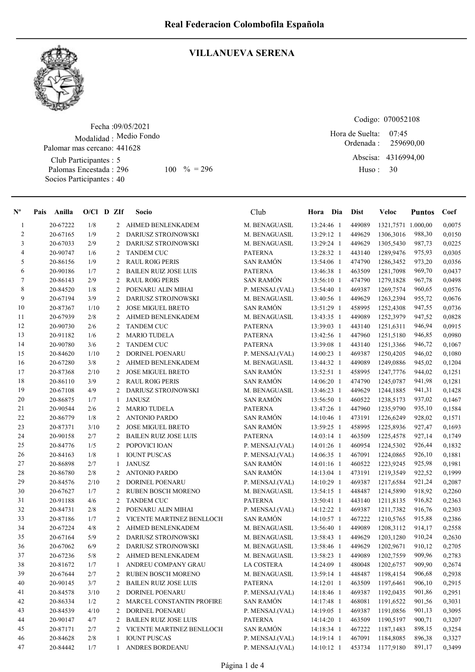

## VILLANUEVA SERENA

Fecha : 09/05/2021 Modalidad : Medio Fondo Club Participantes : 5 Palomas Encestada : Socios Participantes : 40 Palomar mas cercano: 441628 296 100 % = 296 Huso: 30

Codigo: 070052108 Ordenada : 07:45 Hora de Suelta: 259690,00

Abscisa: 4316994,00 Huso :

| $N^{\circ}$    | Anilla<br>Pais | $O/Cl$ D ZIf |                | Socio                        | Club             | Hora Dia     | <b>Dist</b> | Veloc              | <b>Puntos</b> | Coef   |
|----------------|----------------|--------------|----------------|------------------------------|------------------|--------------|-------------|--------------------|---------------|--------|
| $\mathbf{1}$   | 20-67222       | 1/8          |                | 2 AHMED BENLENKADEM          | M. BENAGUASIL    | 13:24:46 1   | 449089      | 1321,7571 1.000,00 |               | 0,0075 |
| $\mathfrak{2}$ | 20-67165       | 1/9          | $\overline{c}$ | DARIUSZ STROJNOWSKI          | M. BENAGUASIL    | 13:29:12 1   | 449629      | 1306,3016          | 988,30        | 0,0150 |
| 3              | 20-67033       | 2/9          | $\overline{2}$ | DARIUSZ STROJNOWSKI          | M. BENAGUASIL    | 13:29:24 1   | 449629      | 1305,5430          | 987,73        | 0,0225 |
| 4              | 20-90747       | 1/6          | $\overline{c}$ | <b>TANDEM CUC</b>            | <b>PATERNA</b>   | 13:28:32 1   | 443140      | 1289,9476          | 975,93        | 0,0305 |
| 5              | 20-86156       | 1/9          | $\overline{2}$ | <b>RAUL ROIG PERIS</b>       | <b>SAN RAMÓN</b> | 13:54:06 1   | 474790      | 1286,3452          | 973,20        | 0,0356 |
| 6              | 20-90186       | 1/7          | 2              | <b>BAILEN RUIZ JOSE LUIS</b> | <b>PATERNA</b>   | 13:46:38 1   | 463509      | 1281,7098          | 969,70        | 0,0437 |
| $\tau$         | 20-86143       | 2/9          | 2              | <b>RAUL ROIG PERIS</b>       | <b>SAN RAMÓN</b> | 13:56:10 1   | 474790      | 1279,1828          | 967,78        | 0,0498 |
| $\,$ 8 $\,$    | 20-84520       | 1/8          | 2              | POENARU ALIN MIHAI           | P. MENSAJ.(VAL)  | 13:54:40 1   | 469387      | 1269,7574          | 960,65        | 0,0576 |
| 9              | 20-67194       | 3/9          | 2              | DARIUSZ STROJNOWSKI          | M. BENAGUASIL    | 13:40:56 1   | 449629      | 1263,2394          | 955,72        | 0,0676 |
| 10             | 20-87367       | 1/10         | $\overline{c}$ | <b>JOSE MIGUEL BRETO</b>     | <b>SAN RAMÓN</b> | 13:51:29 1   | 458995      | 1252,4308          | 947,55        | 0,0736 |
| 11             | 20-67939       | 2/8          | $\overline{2}$ | <b>AHMED BENLENKADEM</b>     | M. BENAGUASIL    | 13:43:35 1   | 449089      | 1252,3979          | 947,52        | 0,0828 |
| 12             | 20-90730       | 2/6          | $\overline{2}$ | <b>TANDEM CUC</b>            | <b>PATERNA</b>   | 13:39:03 1   | 443140      | 1251,6311          | 946,94        | 0,0915 |
| 13             | 20-91182       | 1/6          | $\overline{c}$ | <b>MARIO TUDELA</b>          | <b>PATERNA</b>   | 13:42:56 1   | 447960      | 1251,5180          | 946,85        | 0,0980 |
| 14             | 20-90780       | 3/6          | $\overline{2}$ | <b>TANDEM CUC</b>            | <b>PATERNA</b>   | 13:39:08 1   | 443140      | 1251,3366          | 946,72        | 0,1067 |
| 15             | 20-84620       | 1/10         | $\overline{c}$ | <b>DORINEL POENARU</b>       | P. MENSAJ.(VAL)  | 14:00:23 1   | 469387      | 1250,4205          | 946,02        | 0,1080 |
| 16             | 20-67280       | 3/8          | 2              | AHMED BENLENKADEM            | M. BENAGUASIL    | 13:44:32 1   | 449089      | 1249,0886          | 945,02        | 0,1204 |
| 17             | 20-87368       | 2/10         | 2              | <b>JOSE MIGUEL BRETO</b>     | <b>SAN RAMÓN</b> | 13:52:51 1   | 458995      | 1247,7776          | 944,02        | 0,1251 |
| 18             | 20-86110       | 3/9          | 2              | <b>RAUL ROIG PERIS</b>       | <b>SAN RAMÓN</b> | 14:06:20 1   | 474790      | 1245,0787          | 941,98        | 0,1281 |
| 19             | 20-67108       | 4/9          | 2              | <b>DARIUSZ STROJNOWSKI</b>   | M. BENAGUASIL    | 13:46:23 1   | 449629      | 1244,1885          | 941,31        | 0,1428 |
| 20             | 20-86875       | 1/7          | 1              | <b>JANUSZ</b>                | <b>SAN RAMÓN</b> | 13:56:50 1   | 460522      | 1238,5173          | 937,02        | 0,1467 |
| 21             | 20-90544       | 2/6          | 2              | <b>MARIO TUDELA</b>          | <b>PATERNA</b>   | 13:47:26 1   | 447960      | 1235,9790          | 935,10        | 0,1584 |
| $22\,$         | 20-86779       | 1/8          | 2              | <b>ANTONIO PARDO</b>         | <b>SAN RAMÓN</b> | 14:10:46 1   | 473191      | 1226,6249          | 928,02        | 0,1571 |
| 23             | 20-87371       | 3/10         | 2              | <b>JOSE MIGUEL BRETO</b>     | <b>SAN RAMÓN</b> | 13:59:25 1   | 458995      | 1225,8936          | 927,47        | 0,1693 |
| 24             | 20-90158       | 2/7          | 2              | <b>BAILEN RUIZ JOSE LUIS</b> | <b>PATERNA</b>   | 14:03:14 1   | 463509      | 1225,4578          | 927,14        | 0,1749 |
| 25             | 20-84776       | 1/5          | $\overline{c}$ | POPOVICI IOAN                | P. MENSAJ.(VAL)  | 14:01:26 1   | 460954      | 1224,5302          | 926,44        | 0,1832 |
| 26             | 20-84163       | 1/8          | 1              | <b>IOUNT PUSCAS</b>          | P. MENSAJ.(VAL)  | 14:06:35 1   | 467091      | 1224,0865          | 926,10        | 0,1881 |
| 27             | 20-86898       | 2/7          | 1              | <b>JANUSZ</b>                | <b>SAN RAMÓN</b> | $14:01:16$ 1 | 460522      | 1223,9245          | 925,98        | 0,1981 |
| 28             | 20-86780       | 2/8          | 2              | <b>ANTONIO PARDO</b>         | <b>SAN RAMÓN</b> | 14:13:04 1   | 473191      | 1219,3549          | 922,52        | 0,1999 |
| 29             | 20-84576       | 2/10         | 2              | <b>DORINEL POENARU</b>       | P. MENSAJ.(VAL)  | 14:10:29 1   | 469387      | 1217,6584          | 921,24        | 0,2087 |
| 30             | 20-67627       | 1/7          | 2              | <b>RUBEN BOSCH MORENO</b>    | M. BENAGUASIL    | 13:54:15 1   | 448487      | 1214,5890          | 918,92        | 0,2260 |
| 31             | 20-91188       | 4/6          | $\overline{2}$ | <b>TANDEM CUC</b>            | <b>PATERNA</b>   | 13:50:41 1   | 443140      | 1211,8135          | 916,82        | 0,2363 |
| 32             | 20-84731       | 2/8          | 2              | POENARU ALIN MIHAI           | P. MENSAJ.(VAL)  | 14:12:22 1   | 469387      | 1211,7382          | 916,76        | 0,2303 |
| 33             | 20-87186       | 1/7          | 2              | VICENTE MARTINEZ BENLLOCH    | <b>SAN RAMÓN</b> | 14:10:57 1   | 467222      | 1210,5765          | 915,88        | 0,2386 |
| 34             | 20-67224       | 4/8          | 2              | AHMED BENLENKADEM            | M. BENAGUASIL    | 13:56:40 1   | 449089      | 1208,3112          | 914,17        | 0,2558 |
| 35             | 20-67164       | 5/9          | 2              | DARIUSZ STROJNOWSKI          | M. BENAGUASIL    | 13:58:43 1   | 449629      | 1203,1280          | 910,24        | 0,2630 |
| 36             | 20-67062       | 6/9          | 2              | <b>DARIUSZ STROJNOWSKI</b>   | M. BENAGUASIL    | 13:58:46 1   | 449629      | 1202,9671          | 910,12        | 0,2705 |
| 37             | 20-67236       | 5/8          | 2              | AHMED BENLENKADEM            | M. BENAGUASIL    | 13:58:23 1   | 449089      | 1202,7559          | 909,96        | 0,2783 |
| 38             | 20-81672       | 1/7          | 1              | ANDREU COMPANY GRAU          | LA COSTERA       | 14:24:09 1   | 480048      | 1202,6757          | 909,90        | 0,2674 |
| 39             | 20-67644       | 2/7          | 2              | <b>RUBEN BOSCH MORENO</b>    | M. BENAGUASIL    | 13:59:14 1   | 448487      | 1198,4154          | 906,68        | 0,2938 |
| 40             | 20-90145       | 3/7          | 2              | <b>BAILEN RUIZ JOSE LUIS</b> | <b>PATERNA</b>   | 14:12:01 1   | 463509      | 1197,6461          | 906,10        | 0,2915 |
| 41             | 20-84578       | 3/10         | 2              | DORINEL POENARU              | P. MENSAJ.(VAL)  | 14:18:46 1   | 469387      | 1192,0435          | 901,86        | 0,2951 |
| 42             | 20-86334       | 1/2          | 2              | MARCEL CONSTANTIN PROFIRE    | <b>SAN RAMÓN</b> | 14:17:48 1   | 468081      | 1191,6522          | 901,56        | 0,3031 |
| 43             | 20-84539       | 4/10         | 2              | <b>DORINEL POENARU</b>       | P. MENSAJ.(VAL)  | 14:19:05 1   | 469387      | 1191,0856          | 901,13        | 0,3095 |
| 44             | 20-90147       | 4/7          | 2              | <b>BAILEN RUIZ JOSE LUIS</b> | <b>PATERNA</b>   | 14:14:20 1   | 463509      | 1190,5197          | 900,71        | 0,3207 |
| 45             | 20-87171       | 2/7          | 2              | VICENTE MARTINEZ BENLLOCH    | <b>SAN RAMÓN</b> | 14:18:34 1   | 467222      | 1187,1483          | 898,15        | 0,3254 |
| 46             | 20-84628       | 2/8          |                | <b>IOUNT PUSCAS</b>          | P. MENSAJ.(VAL)  | 14:19:14 1   | 467091      | 1184,8085          | 896,38        | 0,3327 |
| 47             | 20-84442       | 1/7          |                | ANDRES BORDEANU              | P. MENSAJ.(VAL)  | 14:10:12 1   | 453734      | 1177,9180          | 891,17        | 0,3499 |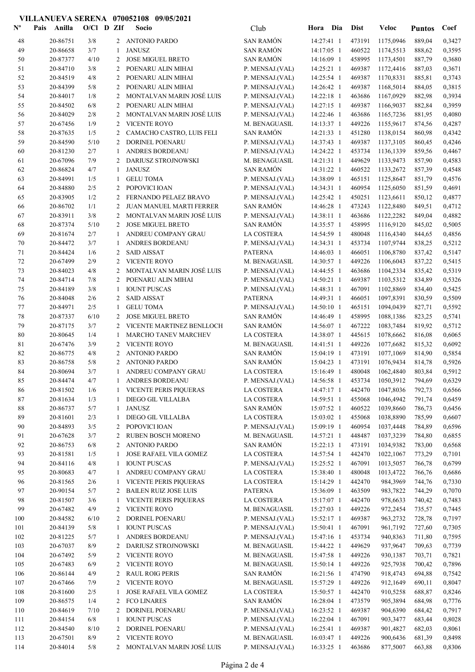## VILLANUEVA SERENA 070052108 09/05/2021

| $\mathbf{N}^{\mathbf{o}}$ | Anilla<br>Pais | $O/Cl$ D ZIf |                | Socio                         | Club              | Hora Dia     | <b>Dist</b> | Veloc                       | <b>Puntos</b> | Coef   |
|---------------------------|----------------|--------------|----------------|-------------------------------|-------------------|--------------|-------------|-----------------------------|---------------|--------|
| 48                        | 20-86751       | $3/8$        |                | 2 ANTONIO PARDO               | <b>SAN RAMÓN</b>  | 14:27:41 1   | 473191      | 1175,0946                   | 889,04        | 0,3427 |
| 49                        | 20-86658       | 3/7          | -1             | <b>JANUSZ</b>                 | <b>SAN RAMÓN</b>  | 14:17:05 1   | 460522      | 1174,5513                   | 888,62        | 0,3595 |
| 50                        | 20-87377       | 4/10         | 2              | <b>JOSE MIGUEL BRETO</b>      | <b>SAN RAMÓN</b>  | 14:16:09 1   | 458995      | 1173,4501                   | 887,79        | 0,3680 |
| 51                        | 20-84710       | 3/8          | 2              | POENARU ALIN MIHAI            | P. MENSAJ.(VAL)   | 14:25:21 1   | 469387      | 1172,4416                   | 887,03        | 0,3671 |
| 52                        | 20-84519       | 4/8          | $\overline{c}$ | POENARU ALIN MIHAI            | P. MENSAJ.(VAL)   | 14:25:54 1   | 469387      | 1170,8331                   | 885,81        | 0,3743 |
| 53                        | 20-84399       | 5/8          | 2              | POENARU ALIN MIHAI            | P. MENSAJ.(VAL)   | 14:26:42 1   | 469387      | 1168,5014                   | 884,05        | 0,3815 |
| 54                        | 20-84017       | 1/8          | 2              | MONTALVAN MARIN JOSÉ LUIS     | P. MENSAJ.(VAL)   | 14:22:18 1   | 463686      | 1167,0929                   | 882,98        | 0,3934 |
| 55                        | 20-84502       | 6/8          | 2              | POENARU ALIN MIHAI            | P. MENSAJ.(VAL)   | 14:27:15 1   | 469387      | 1166,9037                   | 882,84        | 0,3959 |
| 56                        | 20-84029       | 2/8          | 2              | MONTALVAN MARIN JOSÉ LUIS     | P. MENSAJ.(VAL)   | 14:22:46 1   | 463686      | 1165,7236                   | 881,95        | 0,4080 |
| 57                        | 20-67456       | 1/9          | 2              | <b>VICENTE ROYO</b>           | M. BENAGUASIL     | 14:13:37 1   | 449226      | 1155,9617                   | 874,56        | 0,4287 |
| 58                        | 20-87635       | 1/5          | 2              | CAMACHO CASTRO, LUIS FELI     | <b>SAN RAMÓN</b>  | 14:21:33 1   | 451280      | 1138,0154                   | 860,98        | 0,4342 |
| 59                        | 20-84590       | 5/10         | 2              | DORINEL POENARU               | P. MENSAJ.(VAL)   | 14:37:43 1   | 469387      | 1137,3105                   | 860,45        | 0,4246 |
| 60                        | 20-81230       | 2/7          | -1             | ANDRES BORDEANU               | P. MENSAJ.(VAL)   | 14:24:22 1   | 453734      | 1136,1339                   | 859,56        | 0,4467 |
| 61                        | 20-67096       | 7/9          | 2              | DARIUSZ STROJNOWSKI           | M. BENAGUASIL     | 14:21:31 1   | 449629      | 1133,9473                   | 857,90        | 0,4583 |
| 62                        | 20-86824       | 4/7          | -1             | <b>JANUSZ</b>                 | <b>SAN RAMÓN</b>  | 14:31:22 1   | 460522      | 1133,2672                   | 857,39        | 0,4548 |
| 63                        | 20-84991       | 1/5          | 1              | <b>GELU TOMA</b>              | P. MENSAJ.(VAL)   | 14:38:09 1   | 465151      | 1125,8647                   | 851,79        | 0,4576 |
| 64                        | 20-84880       | 2/5          | 2              | POPOVICI IOAN                 | P. MENSAJ.(VAL)   | 14:34:31 1   | 460954      | 1125,6050                   | 851,59        | 0,4691 |
| 65                        | 20-83905       | 1/2          | 2              | FERNANDO PELAEZ BRAVO         | P. MENSAJ.(VAL)   | 14:25:42 1   | 450251      | 1123,6611                   | 850,12        | 0,4877 |
| 66                        | 20-86702       | 1/1          | 2              | JUAN MANUEL MARTI FERRER      | <b>SAN RAMÓN</b>  | 14:46:28 1   | 473243      | 1122,8480                   | 849,51        | 0,4712 |
| 67                        | 20-83911       | 3/8          | 2              | MONTALVAN MARIN JOSÉ LUIS     | P. MENSAJ.(VAL)   | 14:38:11 1   | 463686      | 1122,2282                   | 849,04        | 0,4882 |
| 68                        | 20-87374       | 5/10         | 2              | <b>JOSE MIGUEL BRETO</b>      | <b>SAN RAMÓN</b>  | 14:35:57 1   | 458995      | 1116,9120                   | 845,02        | 0,5005 |
| 69                        | 20-81674       | 2/7          | 1              | ANDREU COMPANY GRAU           | LA COSTERA        | 14:54:59 1   | 480048      | 1116,4340                   | 844,65        | 0,4856 |
| 70                        | 20-84472       | 3/7          | -1             | ANDRES BORDEANU               | P. MENSAJ.(VAL)   | 14:34:31 1   | 453734      | 1107,9744                   | 838,25        | 0,5212 |
| 71                        | 20-84424       | 1/6          | 2              | <b>SAID AISSAT</b>            | <b>PATERNA</b>    | 14:46:03 1   | 466051      | 1106,8780                   | 837,42        | 0,5147 |
| 72                        | 20-67499       | 2/9          | $\overline{c}$ | <b>VICENTE ROYO</b>           | M. BENAGUASIL     | 14:30:57 1   | 449226      | 1106,6043                   | 837,22        | 0,5415 |
| 73                        | 20-84023       | 4/8          | 2              | MONTALVAN MARIN JOSÉ LUIS     | P. MENSAJ.(VAL)   | 14:44:55 1   | 463686      | 1104,2334                   | 835,42        | 0,5319 |
| 74                        | 20-84714       | 7/8          | 2              | POENARU ALIN MIHAI            | P. MENSAJ.(VAL)   | $14:50:21$ 1 | 469387      | 1103,5312                   | 834,89        | 0,5326 |
| 75                        | 20-84189       | 3/8          | -1             | <b>IOUNT PUSCAS</b>           | P. MENSAJ.(VAL)   | 14:48:31 1   | 467091      | 1102,8869                   | 834,40        | 0,5425 |
| 76                        | 20-84048       | 2/6          | 2              | <b>SAID AISSAT</b>            | <b>PATERNA</b>    | 14:49:31 1   | 466051      | 1097,8391                   | 830,59        | 0,5509 |
| 77                        | 20-84971       | 2/5          | -1             | <b>GELU TOMA</b>              | P. MENSAJ.(VAL)   | 14:50:10 1   | 465151      | 1094,0439                   | 827,71        | 0,5592 |
| 78                        | 20-87337       | 6/10         | 2              | <b>JOSE MIGUEL BRETO</b>      | <b>SAN RAMÓN</b>  | 14:46:49 1   | 458995      | 1088,1386                   | 823,25        | 0,5741 |
| 79                        | 20-87175       | 3/7          | 2              | VICENTE MARTINEZ BENLLOCH     | <b>SAN RAMÓN</b>  | 14:56:07 1   | 467222      | 1083,7484                   | 819,92        | 0,5712 |
| 80                        | 20-80645       | 1/4          | 1              | <b>MARCHO TANEV MARCHEV</b>   | <b>LA COSTERA</b> | 14:38:07 1   | 445615      | 1078,6662                   | 816,08        | 0,6065 |
| 81                        | 20-67476       | 3/9          | 2              | <b>VICENTE ROYO</b>           | M. BENAGUASIL     | 14:41:51 1   | 449226      | 1077,6682                   | 815,32        | 0,6092 |
| 82                        | 20-86775       | 4/8          | 2              | <b>ANTONIO PARDO</b>          | <b>SAN RAMÓN</b>  | 15:04:19 1   | 473191      | 1077,1069                   | 814,90        | 0,5854 |
| 83                        | 20-86758       | 5/8          | 2              | <b>ANTONIO PARDO</b>          | <b>SAN RAMÓN</b>  | 15:04:23 1   | 473191      | 1076,9434                   | 814,78        | 0,5926 |
| 84                        | 20-80694       | 3/7          | 1              | ANDREU COMPANY GRAU           | <b>LA COSTERA</b> | 15:16:49 1   | 480048      | 1062,4840                   | 803,84        | 0,5912 |
| 85                        | 20-84474       | 4/7          |                | 1 ANDRES BORDEANU             | P. MENSAJ.(VAL)   |              |             | 14:56:58 1 453734 1050,3912 | 794,69        | 0,6329 |
| 86                        | 20-81502       | 1/6          | 1              | <b>VICENTE PERIS PIQUERAS</b> | LA COSTERA        | $14:47:17$ 1 | 442470      | 1047,8036                   | 792,73        | 0,6566 |
| 87                        | 20-81634       | 1/3          | 1              | DIEGO GIL VILLALBA            | LA COSTERA        | 14:59:51 1   | 455068      | 1046,4942                   | 791,74        | 0,6459 |
| $88\,$                    | 20-86737       | 5/7          | $\mathbf{1}$   | <b>JANUSZ</b>                 | <b>SAN RAMÓN</b>  | 15:07:52 1   | 460522      | 1039,8660                   | 786,73        | 0,6456 |
| 89                        | 20-81601       | 2/3          | -1             | DIEGO GIL VILLALBA            | LA COSTERA        | 15:03:02 1   | 455068      | 1038,8890                   | 785,99        | 0,6607 |
| 90                        | 20-84893       | 3/5          | 2              | POPOVICI IOAN                 | P. MENSAJ.(VAL)   | 15:09:19 1   | 460954      | 1037,4448                   | 784,89        | 0,6596 |
| 91                        | 20-67628       | 3/7          | 2              | <b>RUBEN BOSCH MORENO</b>     | M. BENAGUASIL     | 14:57:21 1   | 448487      | 1037,3239                   | 784,80        | 0,6855 |
| 92                        | 20-86753       | 6/8          | 2              | <b>ANTONIO PARDO</b>          | <b>SAN RAMÓN</b>  | 15:22:13 1   | 473191      | 1034,9382                   | 783,00        | 0,6568 |
| 93                        | 20-81581       | 1/5          | 1              | JOSE RAFAEL VILA GOMEZ        | LA COSTERA        | 14:57:54 1   | 442470      | 1022,1067                   | 773,29        | 0,7101 |
| 94                        | 20-84116       | 4/8          | 1              | <b>IOUNT PUSCAS</b>           | P. MENSAJ.(VAL)   | 15:25:52 1   | 467091      | 1013,5057                   | 766,78        | 0,6799 |
| 95                        | 20-80683       | 4/7          | 1              | ANDREU COMPANY GRAU           | LA COSTERA        | 15:38:40 1   | 480048      | 1013,4722                   | 766,76        | 0,6686 |
| 96                        | 20-81565       | 2/6          | 1              | VICENTE PERIS PIQUERAS        | LA COSTERA        | 15:14:29 1   | 442470      | 984,3969                    | 744,76        | 0,7330 |
| 97                        | 20-90154       | 5/7          | 2              | <b>BAILEN RUIZ JOSE LUIS</b>  | <b>PATERNA</b>    | 15:36:09 1   | 463509      | 983,7822                    | 744,29        | 0,7070 |
| 98                        | 20-81507       | 3/6          | 1              | VICENTE PERIS PIQUERAS        | LA COSTERA        | 15:17:07 1   | 442470      | 978,6633                    | 740,42        | 0,7483 |
| 99                        | 20-67482       | 4/9          | 2              | <b>VICENTE ROYO</b>           | M. BENAGUASIL     | 15:27:03 1   | 449226      | 972,2454                    | 735,57        | 0,7445 |
| 100                       | 20-84582       | 6/10         | 2              | DORINEL POENARU               | P. MENSAJ.(VAL)   | 15:52:17 1   | 469387      | 963,2732                    | 728,78        | 0,7197 |
| 101                       | 20-84139       | 5/8          | 1              | <b>IOUNT PUSCAS</b>           | P. MENSAJ.(VAL)   | 15:50:41 1   | 467091      | 961,7192                    | 727,60        | 0,7305 |
| 102                       | 20-81225       | 5/7          | 1              | ANDRES BORDEANU               | P. MENSAJ.(VAL)   | 15:47:16 1   | 453734      | 940,8363                    | 711,80        | 0,7595 |
| 103                       | 20-67037       | 8/9          | 2              | DARIUSZ STROJNOWSKI           | M. BENAGUASIL     | 15:44:22 1   | 449629      | 937,9647                    | 709,63        | 0,7739 |
| 104                       | 20-67492       | 5/9          | 2              | <b>VICENTE ROYO</b>           | M. BENAGUASIL     | 15:47:58 1   | 449226      | 930,1387                    | 703,71        | 0,7821 |
| 105                       | 20-67483       | 6/9          | 2              | <b>VICENTE ROYO</b>           | M. BENAGUASIL     | 15:50:14 1   | 449226      | 925,7938                    | 700,42        | 0,7896 |
| 106                       | 20-86144       | 4/9          | 2              | <b>RAUL ROIG PERIS</b>        | <b>SAN RAMÓN</b>  | 16:21:56 1   | 474790      | 918,4743                    | 694,88        | 0,7542 |
| 107                       | 20-67466       | 7/9          | 2              | <b>VICENTE ROYO</b>           | M. BENAGUASIL     | 15:57:29 1   | 449226      | 912,1649                    | 690,11        | 0,8047 |
| 108                       | 20-81600       | 2/5          | 1              | JOSE RAFAEL VILA GOMEZ        | LA COSTERA        | 15:50:57 1   | 442470      | 910,5258                    | 688,87        | 0,8246 |
| 109                       | 20-86575       | 1/4          | 2              | <b>FCO LINARES</b>            | <b>SAN RAMÓN</b>  | 16:28:04 1   | 473579      | 905,3894                    | 684,98        | 0,7776 |
| 110                       | 20-84619       | 7/10         | 2              | DORINEL POENARU               | P. MENSAJ.(VAL)   | $16:23:52$ 1 | 469387      | 904,6390                    | 684,42        | 0,7917 |
| 111                       | 20-84154       | 6/8          | 1              | <b>IOUNT PUSCAS</b>           | P. MENSAJ.(VAL)   | $16:22:04$ 1 | 467091      | 903,3477                    | 683,44        | 0,8028 |
| 112                       | 20-84540       | 8/10         | 2              | DORINEL POENARU               | P. MENSAJ.(VAL)   | $16:25:41$ 1 | 469387      | 901,4827                    | 682,03        | 0,8061 |
| 113                       | 20-67501       | 8/9          | $\overline{2}$ | <b>VICENTE ROYO</b>           | M. BENAGUASIL     | 16:03:47 1   | 449226      | 900,6436                    | 681,39        | 0,8498 |
| 114                       | 20-84014       | 5/8          |                | 2 MONTALVAN MARIN JOSÉ LUIS   | P. MENSAJ.(VAL)   | 16:33:25 1   | 463686      | 877,5007                    | 663,88        | 0,8306 |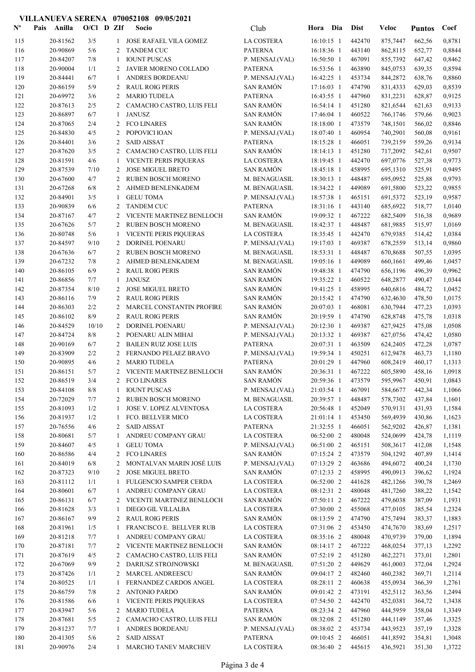## VILLANUEVA SERENA 070052108 09/05/2021

| $N^{\circ}$ | Anilla<br>Pais       | $O/C1$ D ZIf |                | Socio                                            | Club                                 | Hora Dia                 | <b>Dist</b>       | <b>Veloc</b>         | <b>Puntos</b>    | Coef             |
|-------------|----------------------|--------------|----------------|--------------------------------------------------|--------------------------------------|--------------------------|-------------------|----------------------|------------------|------------------|
| 115         | 20-81562             | 3/5          | 1              | JOSE RAFAEL VILA GOMEZ                           | <b>LA COSTERA</b>                    | 16:10:15 1               | 442470            | 875,7447             | 662,56           | 0,8781           |
| 116         | 20-90869             | 5/6          | 2              | <b>TANDEM CUC</b>                                | <b>PATERNA</b>                       | 16:18:36 1               | 443140            | 862,8115             | 652,77           | 0,8844           |
| 117         | 20-84207             | 7/8          | $\mathbf{1}$   | <b>IOUNT PUSCAS</b>                              | P. MENSAJ.(VAL)                      | 16:50:50 1               | 467091            | 855,7392             | 647,42           | 0,8462           |
| 118         | 20-90004             | 1/1          | 2              | JAVIER MORENO COLLADO                            | <b>PATERNA</b>                       | 16:53:56 1               | 463890            | 845,0753             | 639,35           | 0,8594           |
| 119         | 20-84441             | 6/7          | 1              | ANDRES BORDEANU                                  | P. MENSAJ.(VAL)                      | 16:42:25 1               | 453734            | 844,2872             | 638,76           | 0,8860           |
| 120         | 20-86159             | 5/9          | 2              | <b>RAUL ROIG PERIS</b>                           | <b>SAN RAMÓN</b>                     | 17:16:03 1               | 474790            | 831,4333             | 629,03           | 0,8539           |
| 121<br>122  | 20-69972<br>20-87613 | 3/6<br>2/5   | 2              | <b>MARIO TUDELA</b><br>CAMACHO CASTRO, LUIS FELI | <b>PATERNA</b><br><b>SAN RAMÓN</b>   | 16:43:55 1<br>16:54:14 1 | 447960<br>451280  | 831,2231<br>821,6544 | 628,87           | 0,9125<br>0,9133 |
| 123         | 20-86897             | 6/7          | 2<br>1         | <b>JANUSZ</b>                                    | <b>SAN RAMÓN</b>                     | 17:46:04 1               | 460522            | 766,1746             | 621,63<br>579,66 | 0,9023           |
| 124         | 20-87065             | 2/4          | 2              | <b>FCO LINARES</b>                               | <b>SAN RAMÓN</b>                     | 18:18:00 1               | 473579            | 748,1501             | 566,02           | 0,8846           |
| 125         | 20-84830             | 4/5          | 2              | POPOVICI IOAN                                    | P. MENSAJ.(VAL)                      | 18:07:40 1               | 460954            | 740,2901             | 560,08           | 0,9161           |
| 126         | 20-84401             | 3/6          | 2              | <b>SAID AISSAT</b>                               | <b>PATERNA</b>                       | 18:15:28 1               | 466051            | 739,2159             | 559,26           | 0,9134           |
| 127         | 20-87620             | 3/5          | 2              | CAMACHO CASTRO, LUIS FELI                        | <b>SAN RAMÓN</b>                     | 18:14:13 1               | 451280            | 717,2092             | 542,61           | 0,9507           |
| 128         | 20-81591             | 4/6          | 1              | VICENTE PERIS PIQUERAS                           | LA COSTERA                           | 18:19:45 1               | 442470            | 697,0776             | 527,38           | 0,9773           |
| 129         | 20-87539             | 7/10         | $\overline{2}$ | <b>JOSE MIGUEL BRETO</b>                         | SAN RAMÓN                            | 18:45:18 1               | 458995            | 695,1310             | 525,91           | 0,9495           |
| 130         | 20-67600             | 4/7          | 2              | RUBEN BOSCH MORENO                               | M. BENAGUASIL                        | 18:30:13 1               | 448487            | 695,0952             | 525,88           | 0,9793           |
| 131         | 20-67268             | 6/8          | 2              | AHMED BENLENKADEM                                | M. BENAGUASIL                        | 18:34:22 1               | 449089            | 691,5800             | 523,22           | 0,9855           |
| 132         | 20-84901             | 3/5          | 1              | <b>GELU TOMA</b>                                 | P. MENSAJ.(VAL)                      | 18:57:38 1               | 465151            | 691,5372             | 523,19           | 0,9587           |
| 133         | 20-90839             | 6/6          | 2              | <b>TANDEM CUC</b>                                | <b>PATERNA</b>                       | 18:31:16 1               | 443140            | 685,6922             | 518,77           | 1,0140           |
| 134         | 20-87167             | 4/7          | 2              | VICENTE MARTINEZ BENLLOCH                        | <b>SAN RAMÓN</b>                     | 19:09:32 1               | 467222            | 682,5409             | 516,38           | 0,9689           |
| 135         | 20-67626             | 5/7          | 2              | <b>RUBEN BOSCH MORENO</b>                        | M. BENAGUASIL                        | 18:42:37 1               | 448487            | 681,9885             | 515,97           | 1,0169           |
| 136         | 20-80748             | 5/6          |                | <b>VICENTE PERIS PIQUERAS</b>                    | <b>LA COSTERA</b>                    | 18:35:45 1               | 442470            | 679,9385             | 514,42           | 1,0384           |
| 137         | 20-84597             | 9/10         | 2              | DORINEL POENARU                                  | P. MENSAJ.(VAL)                      | 19:17:03 1               | 469387            | 678,2559             | 513,14           | 0,9860           |
| 138         | 20-67636             | 6/7          | 2              | RUBEN BOSCH MORENO                               | M. BENAGUASIL                        | 18:53:31 1               | 448487            | 670,8688             | 507,55           | 1,0395           |
| 139         | 20-67232             | 7/8          | 2              | AHMED BENLENKADEM                                | M. BENAGUASIL                        | 19:05:16 1               | 449089            | 660,1661             | 499,46           | 1,0457           |
| 140<br>141  | 20-86105<br>20-86856 | 6/9<br>7/7   | 2              | <b>RAUL ROIG PERIS</b><br><b>JANUSZ</b>          | <b>SAN RAMÓN</b><br><b>SAN RAMÓN</b> | 19:48:38 1<br>19:35:22 1 | 474790<br>460522  | 656,1196<br>648,2877 | 496,39<br>490,47 | 0,9962<br>1,0344 |
| 142         | 20-87354             | 8/10         | 1<br>2         | <b>JOSE MIGUEL BRETO</b>                         | <b>SAN RAMÓN</b>                     | 19:41:25 1               | 458995            | 640,6816             | 484,72           | 1,0452           |
| 143         | 20-86116             | 7/9          | 2              | <b>RAUL ROIG PERIS</b>                           | <b>SAN RAMÓN</b>                     | 20:15:42 1               | 474790            | 632,4630             | 478,50           | 1,0175           |
| 144         | 20-86303             | 2/2          | 2              | MARCEL CONSTANTIN PROFIRE                        | <b>SAN RAMÓN</b>                     | 20:07:03 1               | 468081            | 630,7944             | 477,23           | 1,0393           |
| 145         | 20-86102             | 8/9          | 2              | <b>RAUL ROIG PERIS</b>                           | <b>SAN RAMÓN</b>                     | 20:19:59 1               | 474790            | 628,8748             | 475,78           | 1,0318           |
| 146         | 20-84529             | 10/10        | 2              | DORINEL POENARU                                  | P. MENSAJ.(VAL)                      | 20:12:30 1               | 469387            | 627,9425             | 475,08           | 1,0508           |
| 147         | 20-84724             | 8/8          | 2              | POENARU ALIN MIHAI                               | P. MENSAJ.(VAL)                      | 20:13:32 1               | 469387            | 627,0756             | 474,42           | 1,0580           |
| 148         | 20-90169             | 6/7          | 2              | <b>BAILEN RUIZ JOSE LUIS</b>                     | <b>PATERNA</b>                       | 20:07:31 1               | 463509            | 624,2405             | 472,28           | 1,0787           |
| 149         | 20-83909             | 2/2          | 2              | FERNANDO PELAEZ BRAVO                            | P. MENSAJ.(VAL)                      | 19:59:34 1               | 450251            | 612,9478             | 463,73           | 1,1180           |
| 150         | 20-90895             | 4/6          | 2              | <b>MARIO TUDELA</b>                              | <b>PATERNA</b>                       | 20:01:29 1               | 447960            | 608,2419             | 460,17           | 1,1313           |
| 151         | 20-86151             | 5/7          |                | 2 VICENTE MARTINEZ BENLLOCH                      | SAN RAMÓN                            | 20:36:31 1               | 467222            | 605,5890             | 458,16           | 1,0918           |
| 152         | 20-86519             | 3/4          |                | 2 FCO LINARES                                    | SAN RAMÓN                            |                          | 20:59:36 1 473579 | 595,9967 450,91      |                  | 1,0843           |
| 153         | 20-84108             | 8/8          | 1              | <b>IOUNT PUSCAS</b>                              | P. MENSAJ.(VAL)                      | 21:03:54 1               | 467091            | 584,6677             | 442,34           | 1,1066           |
| 154         | 20-72029             | 7/7          | 2              | RUBEN BOSCH MORENO                               | M. BENAGUASIL                        | 20:39:57 1               | 448487            | 578,7302             | 437,84           | 1,1601           |
| 155         | 20-81093             | 1/2          | 1              | <b>JOSE V. LOPEZ ALVENTOSA</b>                   | LA COSTERA                           | 20:56:48 1               | 452049            | 570,9131             | 431,93           | 1,1584           |
| 156         | 20-81937             | 1/2          | 1              | FCO. BELLVER MICO                                | LA COSTERA                           | 21:01:14 1               | 453450            | 569,4939             | 430,86           | 1,1623           |
| 157<br>158  | 20-76556<br>20-80681 | 4/6<br>5/7   | 2<br>1         | <b>SAID AISSAT</b><br>ANDREU COMPANY GRAU        | <b>PATERNA</b><br>LA COSTERA         | 21:32:55 1<br>06:52:00 2 | 466051<br>480048  | 562,9202<br>524,0699 | 426,87<br>424,78 | 1,1381<br>1,1119 |
| 159         | 20-84607             | 4/5          | 1              | <b>GELU TOMA</b>                                 | P. MENSAJ.(VAL)                      | 06:51:00 2               | 465151            | 508,3617             | 412,08           | 1,1548           |
| 160         | 20-86586             | 4/4          | 2              | <b>FCO LINARES</b>                               | SAN RAMÓN                            | 07:15:24 2               | 473579            | 504,1292             | 407,89           | 1,1414           |
| 161         | 20-84019             | 6/8          | 2              | MONTALVAN MARIN JOSÉ LUIS                        | P. MENSAJ.(VAL)                      | 07:13:29 2               | 463686            | 494,6072             | 400,24           | 1,1730           |
| 162         | 20-87323             | 9/10         | 2              | <b>JOSE MIGUEL BRETO</b>                         | <b>SAN RAMÓN</b>                     | 07:12:33 2               | 458995            | 490,0913             | 396,62           | 1,1924           |
| 163         | 20-81112             | 1/1          | 1              | FULGENCIO SAMPER CERDA                           | LA COSTERA                           | 06:52:00 2               | 441628            | 482,1266             | 390,78           | 1,2469           |
| 164         | 20-80601             | 6/7          | 1              | ANDREU COMPANY GRAU                              | LA COSTERA                           | 08:12:31 2               | 480048            | 481,7260             | 388,22           | 1,1542           |
| 165         | 20-86131             | 6/7          | 2              | VICENTE MARTINEZ BENLLOCH                        | <b>SAN RAMÓN</b>                     | 07:50:11 2               | 467222            | 479,6038             | 387,09           | 1,1931           |
| 166         | 20-81628             | 3/3          | 1              | DIEGO GIL VILLALBA                               | LA COSTERA                           | 07:30:00 2               | 455068            | 477,0105             | 385,54           | 1,2324           |
| 167         | 20-86167             | 9/9          | 2              | <b>RAUL ROIG PERIS</b>                           | SAN RAMÓN                            | 08:13:59 2               | 474790            | 475,7494             | 383,37           | 1,1883           |
| 168         | 20-81961             | 1/5          | 1              | FRANCISCO E. BELLVER RUB                         | LA COSTERA                           | 07:31:06 2               | 453450            | 474,7670             | 383,69           | 1,2517           |
| 169         | 20-81218             | 7/7          | 1              | ANDREU COMPANY GRAU                              | LA COSTERA                           | 08:35:16 2               | 480048            | 470,9739             | 379,00           | 1,1894           |
| 170         | 20-87181             | 7/7          | 2              | VICENTE MARTINEZ BENLLOCH                        | <b>SAN RAMÓN</b>                     | 08:14:17 2               | 467222            | 468,0254             | 377,13           | 1,2292           |
| 171         | 20-87619             | 4/5          | 2              | CAMACHO CASTRO, LUIS FELI                        | SAN RAMÓN                            | 07:52:19 2               | 451280            | 462,2271             | 373,01           | 1,2801           |
| 172<br>173  | 20-67069<br>20-87426 | 9/9<br>1/1   | 2              | DARIUSZ STROJNOWSKI<br>MARCEL ANDREESCU          | M. BENAGUASIL<br>SAN RAMÓN           | 07:51:20 2<br>09:04:17 2 | 449629<br>482460  | 461,0003<br>460,2382 | 372,04           | 1,2924           |
| 174         | 20-80525             | 1/1          | 2              | FERNANDEZ CARDOS ANGEL                           | LA COSTERA                           | 08:28:11 2               | 460638            | 455,0934             | 369,71<br>366,39 | 1,2114<br>1,2761 |
| 175         | 20-86759             | 7/8          | 2              | <b>ANTONIO PARDO</b>                             | <b>SAN RAMÓN</b>                     | 09:01:42 2               | 473191            | 452,5112             | 363,56           | 1,2494           |
| 176         | 20-81586             | 6/6          | 1              | VICENTE PERIS PIQUERAS                           | LA COSTERA                           | 07:54:50 2               | 442470            | 452,0381             | 364,72           | 1,3438           |
| 177         | 20-83947             | 5/6          | 2              | <b>MARIO TUDELA</b>                              | <b>PATERNA</b>                       | 08:23:34 2               | 447960            | 444,5959             | 358,04           | 1,3349           |
| 178         | 20-87681             | 5/5          | 2              | CAMACHO CASTRO, LUIS FELI                        | <b>SAN RAMÓN</b>                     | 08:32:08 2               | 451280            | 444,1149             | 357,46           | 1,3325           |
| 179         | 20-81237             | 7/7          | 1              | ANDRES BORDEANU                                  | P. MENSAJ.(VAL)                      | 08:38:02 2               | 453734            | 443,9523             | 357,19           | 1,3328           |
| 180         | 20-41305             | 5/6          | 2              | <b>SAID AISSAT</b>                               | <b>PATERNA</b>                       | 09:10:45 2               | 466051            | 441,8592             | 354,81           | 1,3048           |
| 181         | 20-90976             | 2/4          | 1              | MARCHO TANEV MARCHEV                             | <b>LA COSTERA</b>                    | 08:36:40 2               | 445615            | 436,5921             | 351,30           | 1,3722           |